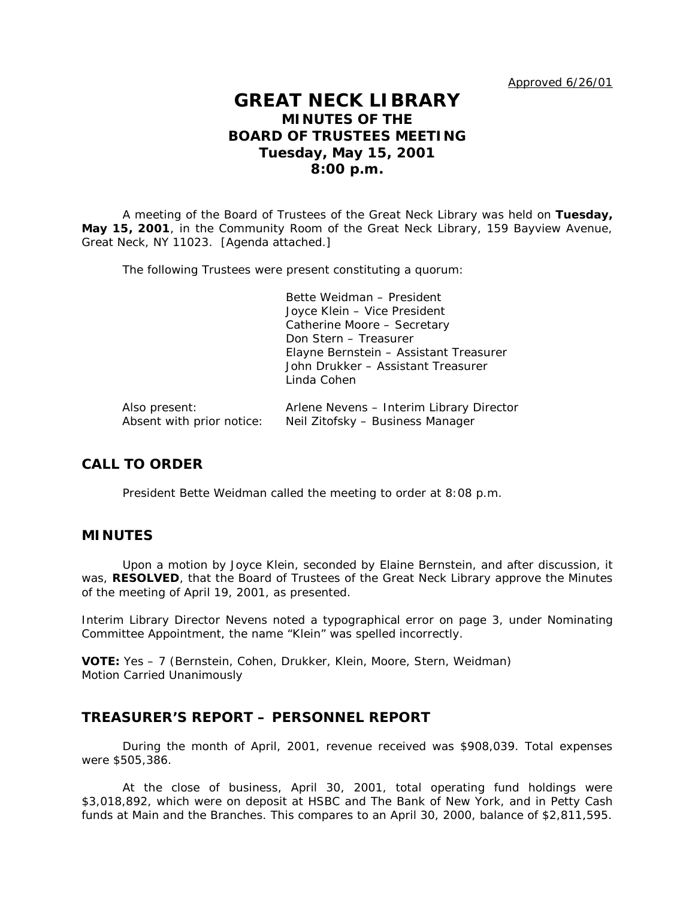Approved 6/26/01

# **GREAT NECK LIBRARY MINUTES OF THE BOARD OF TRUSTEES MEETING Tuesday, May 15, 2001 8:00 p.m.**

A meeting of the Board of Trustees of the Great Neck Library was held on **Tuesday, May 15, 2001**, in the Community Room of the Great Neck Library, 159 Bayview Avenue, Great Neck, NY 11023. [Agenda attached.]

The following Trustees were present constituting a quorum:

Bette Weidman – President Joyce Klein – Vice President Catherine Moore – Secretary Don Stern – Treasurer Elayne Bernstein – Assistant Treasurer John Drukker – Assistant Treasurer Linda Cohen

| Also present:             | Arlene Nevens - Interim Library Director |
|---------------------------|------------------------------------------|
| Absent with prior notice: | Neil Zitofsky – Business Manager         |

# **CALL TO ORDER**

President Bette Weidman called the meeting to order at 8:08 p.m.

## **MINUTES**

Upon a motion by Joyce Klein, seconded by Elaine Bernstein, and after discussion, it was, **RESOLVED**, that the Board of Trustees of the Great Neck Library approve the Minutes of the meeting of April 19, 2001, as presented.

Interim Library Director Nevens noted a typographical error on page 3, under Nominating Committee Appointment, the name "Klein" was spelled incorrectly.

**VOTE:** Yes – 7 (Bernstein, Cohen, Drukker, Klein, Moore, Stern, Weidman) *Motion Carried Unanimously*

# **TREASURER'S REPORT – PERSONNEL REPORT**

During the month of April, 2001, revenue received was \$908,039. Total expenses were \$505,386.

At the close of business, April 30, 2001, total operating fund holdings were \$3,018,892, which were on deposit at HSBC and The Bank of New York, and in Petty Cash funds at Main and the Branches. This compares to an April 30, 2000, balance of \$2,811,595.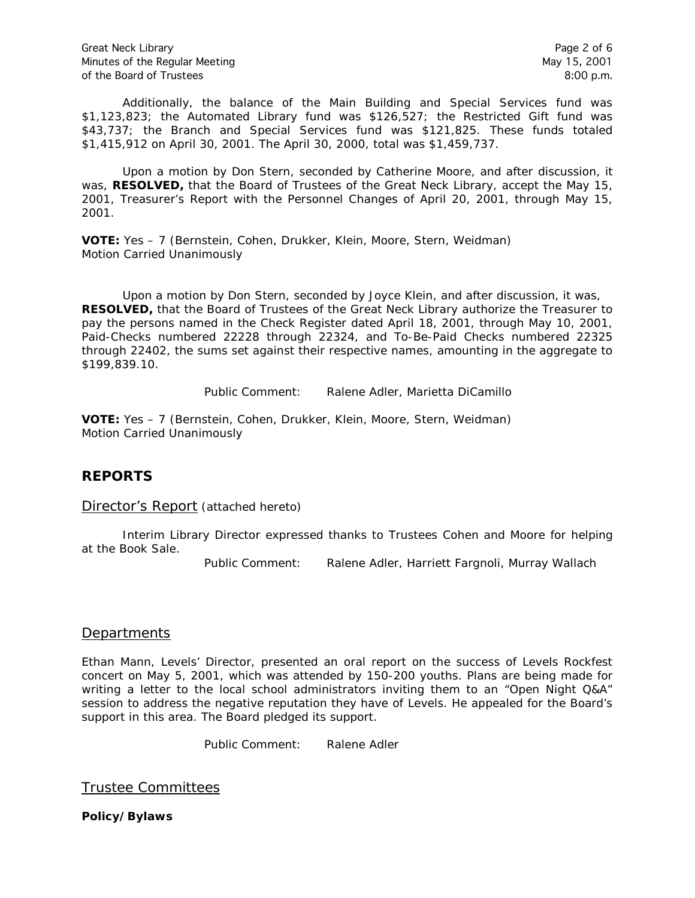Additionally, the balance of the Main Building and Special Services fund was \$1,123,823; the Automated Library fund was \$126,527; the Restricted Gift fund was \$43,737; the Branch and Special Services fund was \$121,825. These funds totaled \$1,415,912 on April 30, 2001. The April 30, 2000, total was \$1,459,737.

Upon a motion by Don Stern, seconded by Catherine Moore, and after discussion, it was, **RESOLVED,** that the Board of Trustees of the Great Neck Library, accept the May 15, 2001, Treasurer's Report with the Personnel Changes of April 20, 2001, through May 15, 2001.

**VOTE:** Yes – 7 (Bernstein, Cohen, Drukker, Klein, Moore, Stern, Weidman) *Motion Carried Unanimously*

Upon a motion by Don Stern, seconded by Joyce Klein, and after discussion, it was, **RESOLVED,** that the Board of Trustees of the Great Neck Library authorize the Treasurer to pay the persons named in the Check Register dated April 18, 2001, through May 10, 2001, Paid-Checks numbered 22228 through 22324, and To-Be-Paid Checks numbered 22325 through 22402, the sums set against their respective names, amounting in the aggregate to \$199,839.10.

Public Comment: Ralene Adler, Marietta DiCamillo

**VOTE:** Yes – 7 (Bernstein, Cohen, Drukker, Klein, Moore, Stern, Weidman) *Motion Carried Unanimously*

# **REPORTS**

Director's Report (attached hereto)

Interim Library Director expressed thanks to Trustees Cohen and Moore for helping at the Book Sale.

Public Comment: Ralene Adler, Harriett Fargnoli, Murray Wallach

# **Departments**

Ethan Mann, Levels' Director, presented an oral report on the success of Levels Rockfest concert on May 5, 2001, which was attended by 150-200 youths. Plans are being made for writing a letter to the local school administrators inviting them to an "Open Night Q&A" session to address the negative reputation they have of Levels. He appealed for the Board's support in this area. The Board pledged its support.

Public Comment: Ralene Adler

Trustee Committees

**Policy/Bylaws**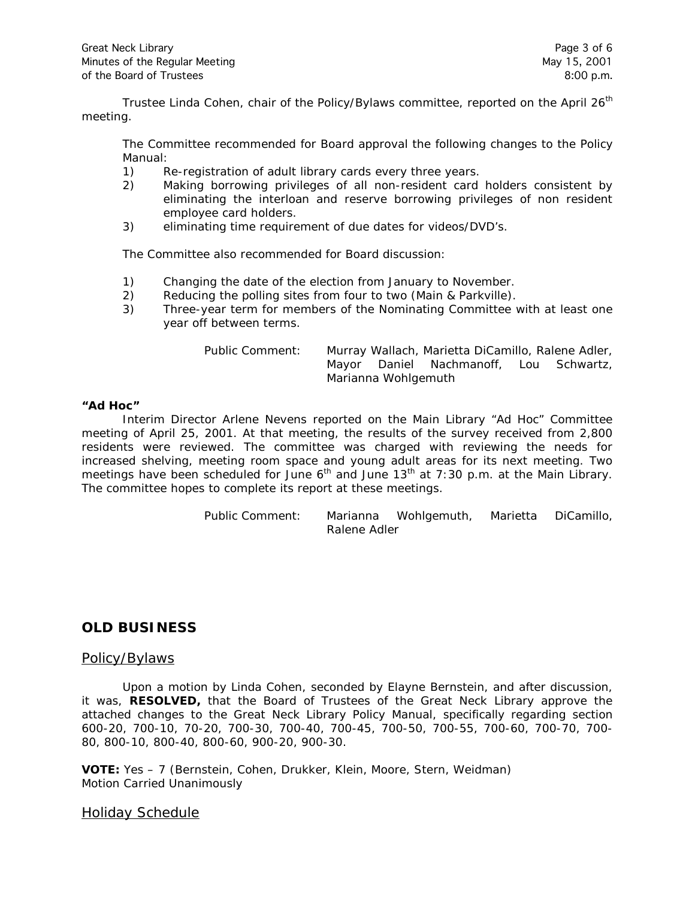Trustee Linda Cohen, chair of the Policy/Bylaws committee, reported on the April 26<sup>th</sup> meeting.

The Committee recommended for Board approval the following changes to the Policy Manual:

- 1) Re-registration of adult library cards every three years.
- 2) Making borrowing privileges of all non-resident card holders consistent by eliminating the interloan and reserve borrowing privileges of non resident employee card holders.
- 3) eliminating time requirement of due dates for videos/DVD's.

The Committee also recommended for Board discussion:

- 1) Changing the date of the election from January to November.
- 2) Reducing the polling sites from four to two (Main & Parkville).
- 3) Three-year term for members of the Nominating Committee with at least one year off between terms.

| Public Comment: | Murray Wallach, Marietta DiCamillo, Ralene Adler, |  |                                        |  |  |  |  |
|-----------------|---------------------------------------------------|--|----------------------------------------|--|--|--|--|
|                 |                                                   |  | Mayor Daniel Nachmanoff, Lou Schwartz, |  |  |  |  |
|                 | Marianna Wohlgemuth                               |  |                                        |  |  |  |  |

#### **"Ad Hoc"**

Interim Director Arlene Nevens reported on the Main Library "Ad Hoc" Committee meeting of April 25, 2001. At that meeting, the results of the survey received from 2,800 residents were reviewed. The committee was charged with reviewing the needs for increased shelving, meeting room space and young adult areas for its next meeting. Two meetings have been scheduled for June  $6<sup>th</sup>$  and June 13<sup>th</sup> at 7:30 p.m. at the Main Library. The committee hopes to complete its report at these meetings.

> Public Comment: Marianna Wohlgemuth, Marietta DiCamillo, Ralene Adler

## **OLD BUSINESS**

#### Policy/Bylaws

Upon a motion by Linda Cohen, seconded by Elayne Bernstein, and after discussion, it was, **RESOLVED,** that the Board of Trustees of the Great Neck Library approve the attached changes to the Great Neck Library Policy Manual, specifically regarding section 600-20, 700-10, 70-20, 700-30, 700-40, 700-45, 700-50, 700-55, 700-60, 700-70, 700- 80, 800-10, 800-40, 800-60, 900-20, 900-30.

**VOTE:** Yes – 7 (Bernstein, Cohen, Drukker, Klein, Moore, Stern, Weidman) *Motion Carried Unanimously*

#### Holiday Schedule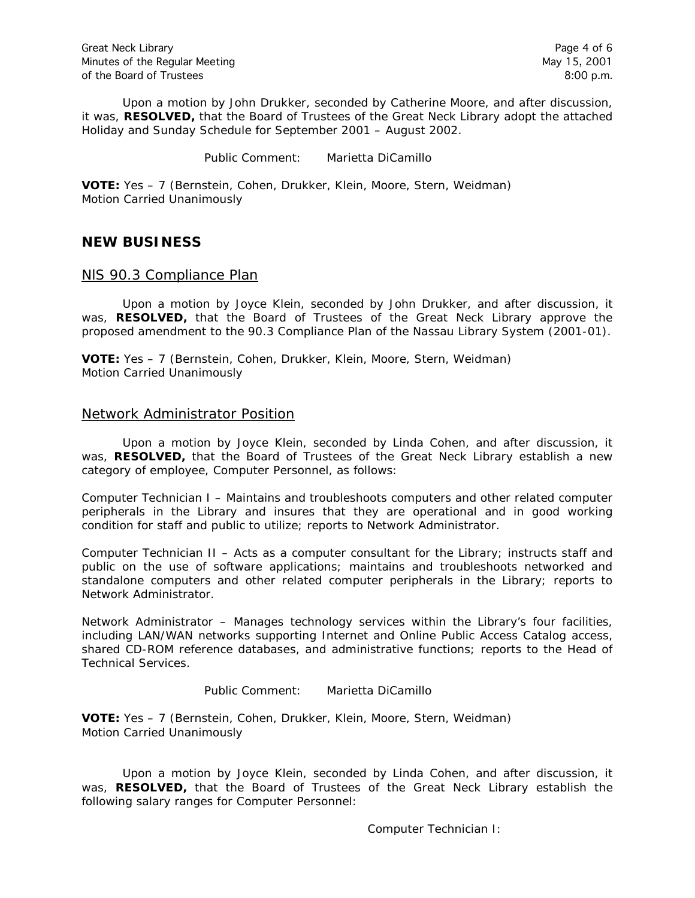Upon a motion by John Drukker, seconded by Catherine Moore, and after discussion, it was, **RESOLVED,** that the Board of Trustees of the Great Neck Library adopt the attached Holiday and Sunday Schedule for September 2001 – August 2002.

Public Comment: Marietta DiCamillo

**VOTE:** Yes – 7 (Bernstein, Cohen, Drukker, Klein, Moore, Stern, Weidman) *Motion Carried Unanimously*

# **NEW BUSINESS**

### NlS 90.3 Compliance Plan

Upon a motion by Joyce Klein, seconded by John Drukker, and after discussion, it was, **RESOLVED,** that the Board of Trustees of the Great Neck Library approve the proposed amendment to the 90.3 Compliance Plan of the Nassau Library System (2001-01).

**VOTE:** Yes – 7 (Bernstein, Cohen, Drukker, Klein, Moore, Stern, Weidman) *Motion Carried Unanimously*

#### Network Administrator Position

Upon a motion by Joyce Klein, seconded by Linda Cohen, and after discussion, it was, **RESOLVED,** that the Board of Trustees of the Great Neck Library establish a new category of employee, Computer Personnel, as follows:

Computer Technician I – Maintains and troubleshoots computers and other related computer peripherals in the Library and insures that they are operational and in good working condition for staff and public to utilize; reports to Network Administrator.

Computer Technician II – Acts as a computer consultant for the Library; instructs staff and public on the use of software applications; maintains and troubleshoots networked and standalone computers and other related computer peripherals in the Library; reports to Network Administrator.

Network Administrator – Manages technology services within the Library's four facilities, including LAN/WAN networks supporting Internet and Online Public Access Catalog access, shared CD-ROM reference databases, and administrative functions; reports to the Head of Technical Services.

Public Comment: Marietta DiCamillo

**VOTE:** Yes – 7 (Bernstein, Cohen, Drukker, Klein, Moore, Stern, Weidman) *Motion Carried Unanimously*

Upon a motion by Joyce Klein, seconded by Linda Cohen, and after discussion, it was, **RESOLVED,** that the Board of Trustees of the Great Neck Library establish the following salary ranges for Computer Personnel:

Computer Technician I: